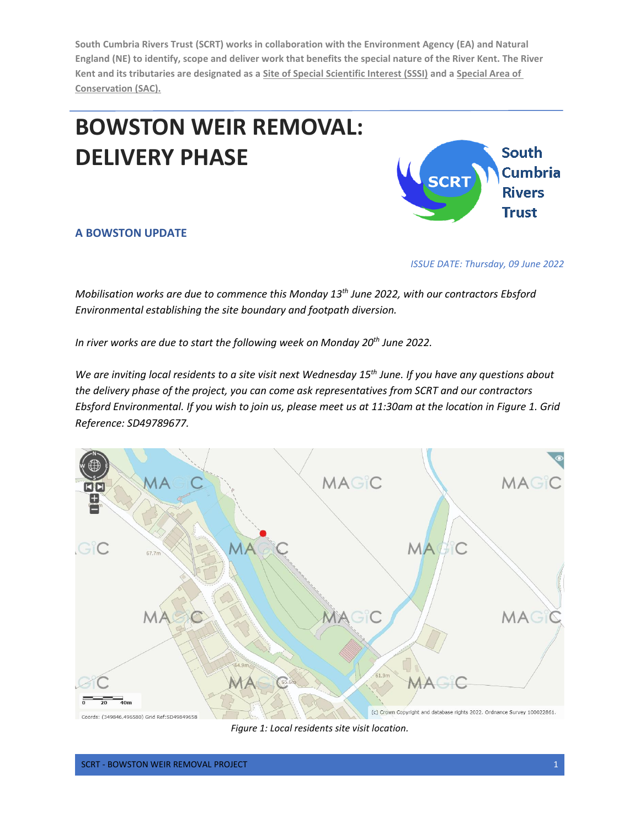**South Cumbria Rivers Trust (SCRT) works in collaboration with the Environment Agency (EA) and Natural England (NE) to identify, scope and deliver work that benefits the special nature of the River Kent. The River Kent and its tributaries are designated as a [Site of Special Scientific Interest \(SSSI\)](https://www.google.com/search?ei=_yuKXP3MEo2xUKbbjIgH&q=what+is+a+sssi+area&oq=wHAT+IS+A+SSSI&gs_l=psy-ab.1.1.0i20i263j0j0i30.8267.8617..15020...0.0..1.295.1230.0j3j3......0....1..gws-wiz.......0i71.3lx8n3e7J14) and a [Special Area of](https://www.google.com/search?ei=hS2KXOCcPK6tgwfqkpuQBg&q=what+is+special+area+of+conservation&oq=what+is+an+Special+Area+of+Cons&gs_l=psy-ab.1.0.0i22i30.13474.27891..29101...0.0..0.891.4160.2j15j4j6-1......0....1..gws-wiz.......0i71j33i22i29i30j33i10.rHwe)  [Conservation \(SAC\).](https://www.google.com/search?ei=hS2KXOCcPK6tgwfqkpuQBg&q=what+is+special+area+of+conservation&oq=what+is+an+Special+Area+of+Cons&gs_l=psy-ab.1.0.0i22i30.13474.27891..29101...0.0..0.891.4160.2j15j4j6-1......0....1..gws-wiz.......0i71j33i22i29i30j33i10.rHwe)**

## **BOWSTON WEIR REMOVAL: DELIVERY PHASE**



## **A BOWSTON UPDATE**

*ISSUE DATE: Thursday, 09 June 2022*

*Mobilisation works are due to commence this Monday 13<sup>th</sup> June 2022, with our contractors Ebsford Environmental establishing the site boundary and footpath diversion.* 

*In river works are due to start the following week on Monday 20th June 2022.*

*We are inviting local residents to a site visit next Wednesday 15th June. If you have any questions about the delivery phase of the project, you can come ask representatives from SCRT and our contractors Ebsford Environmental. If you wish to join us, please meet us at 11:30am at the location in Figure 1. Grid Reference: SD49789677.*



*Figure 1: Local residents site visit location.*